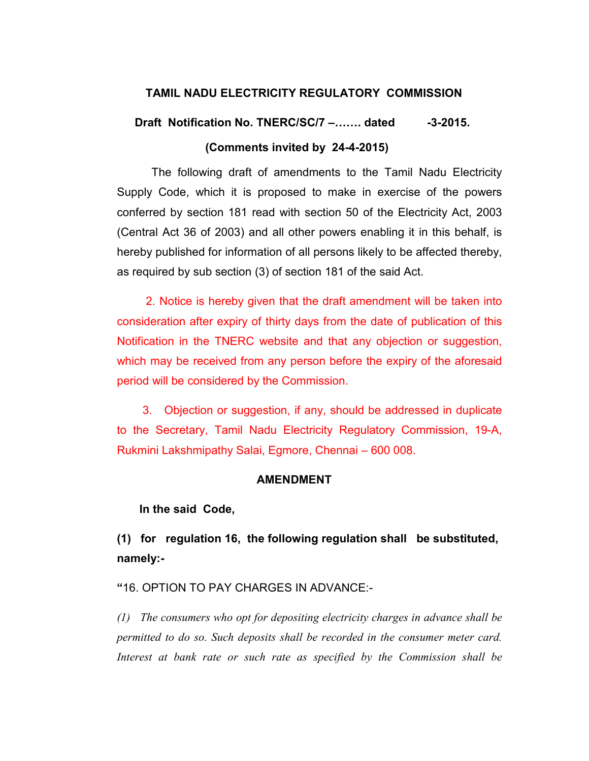## TAMIL NADU ELECTRICITY REGULATORY COMMISSION

# Draft Notification No. TNERC/SC/7 –....... dated -3-2015. (Comments invited by 24-4-2015)

The following draft of amendments to the Tamil Nadu Electricity Supply Code, which it is proposed to make in exercise of the powers conferred by section 181 read with section 50 of the Electricity Act, 2003 (Central Act 36 of 2003) and all other powers enabling it in this behalf, is hereby published for information of all persons likely to be affected thereby, as required by sub section (3) of section 181 of the said Act.

 2. Notice is hereby given that the draft amendment will be taken into consideration after expiry of thirty days from the date of publication of this Notification in the TNERC website and that any objection or suggestion, which may be received from any person before the expiry of the aforesaid period will be considered by the Commission.

 3. Objection or suggestion, if any, should be addressed in duplicate to the Secretary, Tamil Nadu Electricity Regulatory Commission, 19-A, Rukmini Lakshmipathy Salai, Egmore, Chennai – 600 008.

### AMENDMENT

### In the said Code,

(1) for regulation 16, the following regulation shall be substituted, namely:-

# "16. OPTION TO PAY CHARGES IN ADVANCE:-

(1) The consumers who opt for depositing electricity charges in advance shall be permitted to do so. Such deposits shall be recorded in the consumer meter card. Interest at bank rate or such rate as specified by the Commission shall be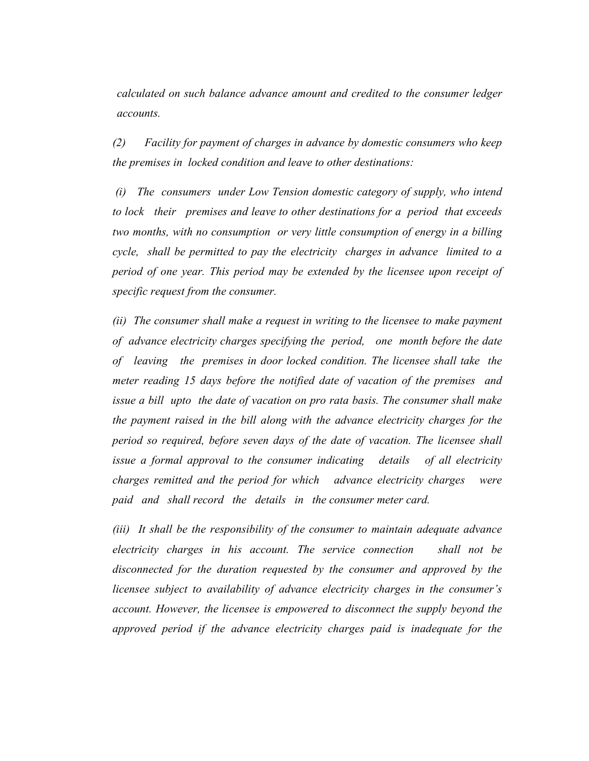calculated on such balance advance amount and credited to the consumer ledger accounts.

(2) Facility for payment of charges in advance by domestic consumers who keep the premises in locked condition and leave to other destinations:

 (i) The consumers under Low Tension domestic category of supply, who intend to lock their premises and leave to other destinations for a period that exceeds two months, with no consumption or very little consumption of energy in a billing cycle, shall be permitted to pay the electricity charges in advance limited to a period of one year. This period may be extended by the licensee upon receipt of specific request from the consumer.

(ii) The consumer shall make a request in writing to the licensee to make payment of advance electricity charges specifying the period, one month before the date of leaving the premises in door locked condition. The licensee shall take the meter reading 15 days before the notified date of vacation of the premises and issue a bill upto the date of vacation on pro rata basis. The consumer shall make the payment raised in the bill along with the advance electricity charges for the period so required, before seven days of the date of vacation. The licensee shall issue a formal approval to the consumer indicating details of all electricity charges remitted and the period for which advance electricity charges were paid and shall record the details in the consumer meter card.

(iii) It shall be the responsibility of the consumer to maintain adequate advance electricity charges in his account. The service connection shall not be disconnected for the duration requested by the consumer and approved by the licensee subject to availability of advance electricity charges in the consumer's account. However, the licensee is empowered to disconnect the supply beyond the approved period if the advance electricity charges paid is inadequate for the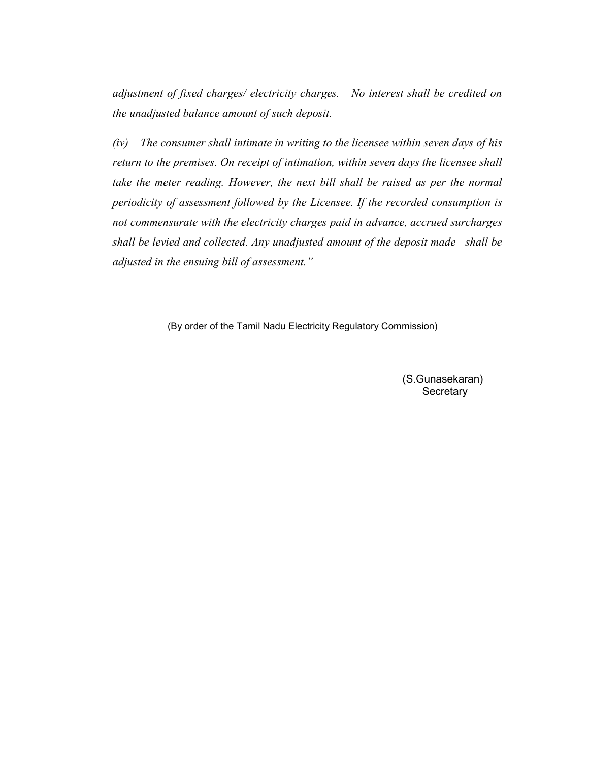adjustment of fixed charges/ electricity charges. No interest shall be credited on the unadjusted balance amount of such deposit.

(iv) The consumer shall intimate in writing to the licensee within seven days of his return to the premises. On receipt of intimation, within seven days the licensee shall take the meter reading. However, the next bill shall be raised as per the normal periodicity of assessment followed by the Licensee. If the recorded consumption is not commensurate with the electricity charges paid in advance, accrued surcharges shall be levied and collected. Any unadjusted amount of the deposit made shall be adjusted in the ensuing bill of assessment."

(By order of the Tamil Nadu Electricity Regulatory Commission)

 (S.Gunasekaran) **Secretary**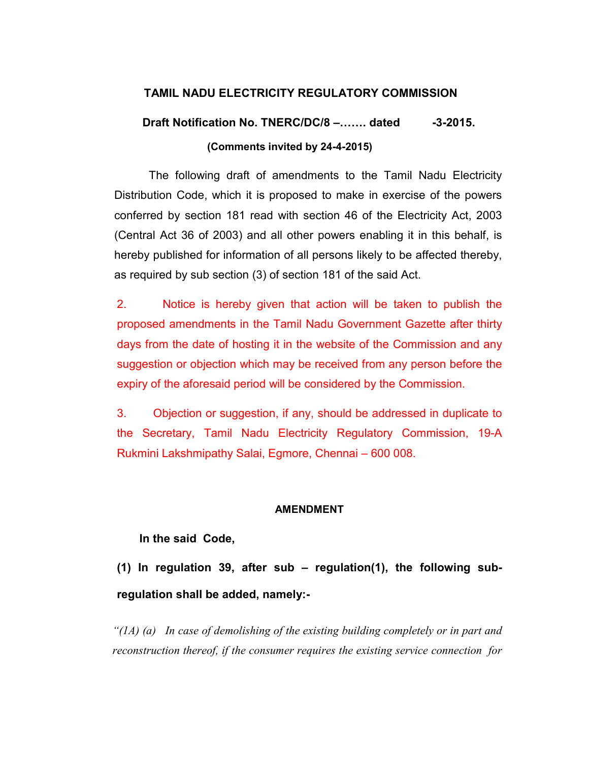# TAMIL NADU ELECTRICITY REGULATORY COMMISSION

# Draft Notification No. TNERC/DC/8 –....... dated -3-2015. (Comments invited by 24-4-2015)

The following draft of amendments to the Tamil Nadu Electricity Distribution Code, which it is proposed to make in exercise of the powers conferred by section 181 read with section 46 of the Electricity Act, 2003 (Central Act 36 of 2003) and all other powers enabling it in this behalf, is hereby published for information of all persons likely to be affected thereby, as required by sub section (3) of section 181 of the said Act.

2. Notice is hereby given that action will be taken to publish the proposed amendments in the Tamil Nadu Government Gazette after thirty days from the date of hosting it in the website of the Commission and any suggestion or objection which may be received from any person before the expiry of the aforesaid period will be considered by the Commission.

3. Objection or suggestion, if any, should be addressed in duplicate to the Secretary, Tamil Nadu Electricity Regulatory Commission, 19-A Rukmini Lakshmipathy Salai, Egmore, Chennai – 600 008.

## AMENDMENT

## In the said Code,

(1) In regulation 39, after sub – regulation(1), the following subregulation shall be added, namely:-

"( $1A$ ) (a) In case of demolishing of the existing building completely or in part and reconstruction thereof, if the consumer requires the existing service connection for